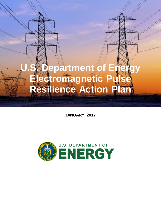# **U.S. Department of Energy Electromagnetic Pulse Resilience Action Plan**

**D O E Ele ctr omagne tic Pulse R e silie nce Action Plan**

**JANUARY 2017**

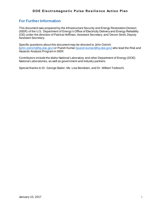# **For Further Information**

This document was prepared by the Infrastructure Security and Energy Restoration Division (ISER) of the U.S. Department of Energy's Office of Electricity Delivery and Energy Reliability (OE) under the direction of Patricia Hoffman, Assistant Secretary, and Devon Streit, Deputy Assistant Secretary.

Specific questions about this document may be directed to John Ostrich [\(john.ostrich@hq.doe.gov\)](mailto:john.ostrich@hq.doe.gov)) or Puesh Kumar [\(puesh.kumar@hq.doe.gov\)](mailto:puesh.kumar@hq.doe.gov)) who lead the Risk and Hazards Analysis Program in ISER.

Contributors include the Idaho National Laboratory and other Department of Energy (DOE) National Laboratories, as well as government and industry partners.

Special thanks to Dr. George Baker, Ms. Lisa Bendixen, and Dr. William Tedeschi.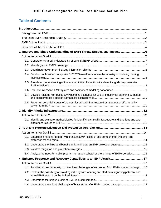# **Table of Contents**

|                  | 1. Improve and Share Understanding of EMP: Threat, Effects, and Impacts 6                               |  |
|------------------|---------------------------------------------------------------------------------------------------------|--|
|                  |                                                                                                         |  |
|                  |                                                                                                         |  |
|                  |                                                                                                         |  |
|                  |                                                                                                         |  |
|                  | 1.4 Develop unclassified composite E1/E2/E3 waveforms for use by industry in modeling/ testing          |  |
|                  | 1.5 Provide an understanding of the susceptibility of specific critical electric grid components to     |  |
|                  |                                                                                                         |  |
| 1.7 <sub>1</sub> | Develop realistic risk-based EMP planning scenarios for use by industry for planning purposes           |  |
|                  | 1.8 Report on potential issues of concern for critical infrastructure from the loss of off-site utility |  |
|                  |                                                                                                         |  |
|                  |                                                                                                         |  |
|                  | 2.1 Identify and evaluate methodologies for identifying critical infrastructure and functions and any   |  |
|                  |                                                                                                         |  |
|                  |                                                                                                         |  |
|                  | 3.1 Establish a national capability to conduct EMP testing of grid components, systems, and             |  |
|                  | 3.2 Understand the limits and benefits of islanding as an EMP protection strategy15                     |  |
|                  |                                                                                                         |  |
|                  | 3.4 Analyze the need for a pilot program to harden substations to a range of EMP scenarios16            |  |
|                  |                                                                                                         |  |
|                  |                                                                                                         |  |
|                  | 4.1 Familiarize the community to the unique challenges of recovering from EMP-induced damage 17         |  |
|                  | 4.2 Explore the possibility of providing industry with warning and alert data regarding potential and   |  |
|                  |                                                                                                         |  |
|                  |                                                                                                         |  |
|                  | 4.4 Understand the unique challenges of black starts after EMP-induced damage19                         |  |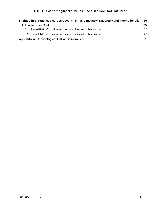| 5. Share Best Practices Across Government and Industry, Nationally and Internationally  20 |  |  |  |
|--------------------------------------------------------------------------------------------|--|--|--|
|                                                                                            |  |  |  |
|                                                                                            |  |  |  |
|                                                                                            |  |  |  |
|                                                                                            |  |  |  |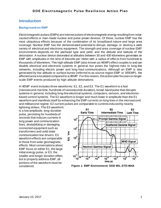# <span id="page-4-0"></span>**Introduction**

## <span id="page-4-1"></span>**Background on EMP**

Electromagnetic pulses (EMPs) are intense pulses of electromagnetic energy resulting from solarcaused effects or man-made nuclear and pulse-power devices. Of these, nuclear EMP has the most ubiquitous effects because of the combination of its broadband nature and large area coverage. Nuclear EMP has the demonstrated potential to disrupt, damage, or destroy a wide variety of electrical and electronic equipment. The strength and area coverage of nuclear EMP environments depends on the warhead type and yield, and the altitude and latitude of the detonation. A nuclear device detonated at altitudes between 30 and 400 kilometers generates an EMP with amplitudes in the tens of kilovolts per meter with a radius of effects from hundreds to thousands of kilometers. This high-altitude EMP (also known as HEMP) effect couples to and can disable electrical and electronic systems in general, but poses the highest risks to long-line networks, including electric power and long-haul communications. Although an EMP is also generated by low altitude or surface bursts (referred to as source region EMP or SREMP), the affected area is localized compared to a HEMP. For this reason, this action plan focuses on largerscale EMP events produced by high altitude detonations.

A HEMP event includes three waveforms: E1, E2, and E3. The E1 waveform is a fast (nanosecond rise time, hundreds of nanoseconds duration), broad-band pulse that disrupts systems in general, including long-line electrical systems, computers, sensors, and electronicbased control systems. The E2 waveform is longer and much lower in amplitude than the E1 waveform and manifests itself by enhancing the EMP currents on long lines in the microsecond and millisecond regime. E2 current pulses are comparable to currents induced by nearby

lightning strikes. The E3 waveform is a low-amplitude, long-duration pulse, persisting for hundreds of seconds that induces currents in long power and communication lines, destabilizing or damaging connected equipment such as transformers and solid state communication line drivers. E3 waveform effects are comparable to those from solar geomagnetic effects. Most conversations about EMP focus on either E1, the large initial energy pulse, or E3, the smaller and longer duration effect, but to properly address EMP, all portions of the waveform must be



considered. **Figure 1. EMP Environment: DOD MIL-STD-464A**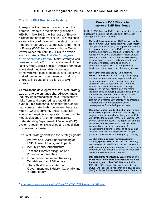# <span id="page-5-0"></span>**The Joint EMP Resilience Strategy**

In response to increased concern about the potential impacts to the electric grid from a HEMP, in late 2015, the Secretary of Energy directed the development of an EMP resilience strategy in coordination with the electric power industry. In January 2016, the U.S. Department of Energy (DOE) began work with the Electric Power Research Institute (EPRI) to develop such a strategy. The *[Joint Electromagnetic](http://www.energy.gov/sites/prod/files/2016/07/f33/DOE_EMPStrategy_July2016_0.pdf)  [Pulse Resilience Strategy](http://www.energy.gov/sites/prod/files/2016/07/f33/DOE_EMPStrategy_July2016_0.pdf)<sup>1</sup>* (Joint Strategy) was released in July 2016. The development of the Joint Strategy was a public-private collaborative effort, designed to establish a common framework with consistent goals and objectives that will guide both government and industry efforts to increase grid resilience to EMP threats.

Central to the development of the Joint Strategy was an effort to enhance shared governmentindustry understanding of the current status of risks from, and preparedness for, HEMP events. This is of particular importance, as will be discussed later in this document, because much of what is currently known about EMP effects to the grid is extrapolated from computer models designed for other purposes (e.g., understanding Department of Defense (DoD) system effects), or is classified and thus difficult to share with industry.

The Joint Strategy identified five strategic goals:

- 1. Improve and Share Understanding of EMP: Threat, Effects, and Impacts
- 2. Identify Priority Infrastructure
- 3. Test and Promote Mitigation and Protection Approaches
- 4. Enhance Response and Recovery Capabilities to an EMP Attack
- 5. Share Best Practices Across Government and Industry, Nationally and Internationally

## **Current DOE Efforts to Improve EMP Resilience**

In 2016, DOE had five EMP resilience-related projects underw ay, including the development of the Joint Strategy and DOE Action Plan.

- **Methodology to Assess HEMP Impact on the Electric Grid (Oak Ridge National Laboratory).**  This project is developing an approach to assess the damage created by an EMP device that transmission planners can use for planning. The results w ill include a probabilistic model of bulk pow er system response under an EMP event, using previous research and established pow er systems evaluation techniques and w ill characterize typical SCADA and protection hardw are in time domain and frequency domain.
- **EMP/GMD Impacts Study (Los Alamos National Laboratory).** This study is leveraging the best currently available experimental data; device, equipment, and system models; and simulation tools to determine EMP and GMD events of concern. This study is focusing primarily on the bulk electric pow er system including large generating stations, large pow er transformers, the transmission netw ork, and transmission system protection. Electrical distribution systems may potentially be included, if w arranted, after consideration of the consequences for the bulk pow er system.
- **Report on Vulnerability of and Impact to Grid from an EMP (Idaho National Laboratory).** This project on the vulnerability of the grid to an EMP w ill identify the potential impact on reliability and delivery of electric pow er. The report w ill address protective and mitigation measures for these vulnerabilities, including hardening of infrastructure, blocking of induced currents and voltages, stocking and prepositioning of spare parts, and operational and emergency planning.
- *Joint Electromagnetic Pulse Resilience Strategy* **(DOE, EPRI, ICF).** The Joint Strategy w as designed to establish a common framew ork w ith consistent goals and objectives to guide both government and industry efforts to increase grid resilience to EMP threats. (See text.)
- **U.S. Department of Energy** *Electromagnetic Pulse Resilience Action Plan* **(Idaho National Laboratory and other DOE National Labs, ICF).** The DOE Action Plan is intended to quide DOE's EMP resilience research and development (R&D) activities for the next five years. *(See text.)*

<sup>1</sup> [http://www.energy.gov/sites/prod/files/2016/07/f33/DOE\\_EMPStrategy\\_July2016\\_0.pdf](http://www.energy.gov/sites/prod/files/2016/07/f33/DOE_EMPStrategy_July2016_0.pdf)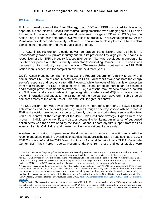## <span id="page-6-0"></span>**EMP Action Plans**

Following development of the Joint Strategy, both DOE and EPRI committed to developing separate, but coordinated. Action Plans that would implement the five strategic goals. EPRI's plan focused on those actions that industry would undertake to mitigate EMP risks; DOE's plan (this Action Plan) delineates the steps that DOE will take to address EMP risks. Although the two Action Plans were developed independently, DOE and EPRI collaborated closely to ensure that the plans complement one another and avoid duplication of effort.

The U.S. infrastructure for electric power generation, transmission, and distribution is predominately owned by private industry and thus its protection lies largely in their hands. In recognition of this, EPRI's industry-focused EMP Action Plan was developed in support of its member companies and the Electricity Subsector Coordinating Council (ESCC),<sup>2</sup> and it was designed to inform industry investment decisions. The research that is outlined in the EPRI EMP Action Plan is scheduled for completion over the next three years.

DOE's Action Plan, by contrast, emphasizes the Federal government's ability to clarify and communicate EMP threats and impacts, reduce HEMP vulnerabilities and facilitate the energy sector's response and recovery after HEMP events. While the focus of this plan is on protection from and mitigation of HEMP effects, many of the actions proposed herein can be scaled to address high-power radio-frequency weapon (RFW) events that may impact a smaller area than a HEMP event and are also relevant to geomagnetic disturbances (GMD)<sup>3</sup> which are similar in system interaction and effects to the E3 portion of the nuclear EMP waveform. Table 1 below compares many of the attributes of EMP and GMD for greater context.

The DOE Action Plan was developed with input from interagency partners, the DOE National Laboratories, and the electric utility industry, in part through a one-day session with more than 50 EMP and electric power industry experts, to identify, discuss, and prioritize potential action items within the context of the five goals of the Joint EMP Resilience Strategy. Experts were also brought in individually to identify and discuss potential action items. An initial set of suggested action items was then developed by the Idaho National Laboratory with support from the Los Alamos, Sandia, Oak Ridge, and Lawrence Livermore National Laboratories.

A subsequent working group enhanced the document and compared the action items with the recommendations made in several major studies that address the EMP threat, such as the 2008 EMP Commission<sup>4</sup> and the 2015 Jewish Institute for National Security Affairs (JINSA) Gemunder Center EMP Task Force<sup>5</sup> reports. Recommendations from these and other studies were

 $2$  The ESCC serves as the principal liaison between the Federal government and the electric power sector, with the mission of coordinating efforts to prepare for, and respond to, national-level disasters or threats to critical infrastructure.

<sup>&</sup>lt;sup>3</sup> In 2015, DOE worked closely with officials in the White House Office of Science and Technology Policy, other Federal agencies, and international partners, to discuss and develop a Space Weather Strategy and an Action Plan to improve preparedness of the nation to GMD events. DOE has many actions planned over the next several years in support of this strategy.

<sup>4</sup> There were 15 recommendations related directly to the electric power system in the 2008 EMP Commission report. DOE's Action Plan at least partially addresses 11 of these. DOE's Action Plan does not specifically mention quick fixes, does not address telecommunications directly, does not *assure* protection of electricity assets, and does not mention the need to assure an adequate number of recovery personnel. Report of the Commission to Assess the Threat to the United States from Electromagnetic Pulse (EMP) Attack, Critical National Infrastructures, April 2008. [http://www.empcommission.org/docs/A2473-EMP\\_Commission-](http://www.empcommission.org/docs/A2473-EMP_Commission-7MB.pdf)[7MB.pdf](http://www.empcommission.org/docs/A2473-EMP_Commission-7MB.pdf)

<sup>&</sup>lt;sup>5</sup> DOE's Action Plan has action items to address at least part of 12 of the 15 recommendations of the JINSA report as it relates to the bulk electric system and one of the participants in the JINSA task force was part of the previously mentioned working gro up. The DOE Action Plan does not address the two recommendat ions related to deterrence, nor does it touch on the one related to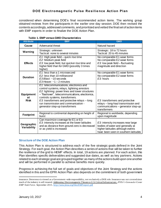considered when determining DOE's final recommended action items. The working group obtained reviews from the participants in the earlier one-day session. DOE then revised the contents accordingly, addressed comments, and prioritized and vetted the final set of action items with EMP experts in order to finalize the DOE Action Plan.

| <b>Attribute</b>                      | <b>EMP</b>                                                                                                                                                                                                                                                                                                                                                       | <b>GMD</b>                                                                                                                                         |
|---------------------------------------|------------------------------------------------------------------------------------------------------------------------------------------------------------------------------------------------------------------------------------------------------------------------------------------------------------------------------------------------------------------|----------------------------------------------------------------------------------------------------------------------------------------------------|
| Cause                                 | Adversarial threat                                                                                                                                                                                                                                                                                                                                               | Natural hazard                                                                                                                                     |
| Warning                               | Strategic: unknown<br>Tactical: none to several minutes                                                                                                                                                                                                                                                                                                          | Strategic: 18 to 72 hours<br>Tactical: 20 to 45 minutes                                                                                            |
| <b>Effects</b>                        | $E1$ : High peak field – quick rise time<br>E2: Medium peak field<br>E3: low peak field, but quicker rise time and<br>higher field than for GMD (possibly 3 times<br>higher)                                                                                                                                                                                     | No comparable E1 wave forms<br>No comparable E2 wave forms<br>$E3$ : low peak field – fluctuating<br>magnitude and direction                       |
| <b>Duration</b>                       | $E1$ : less than a 1 microsecond<br>E2: less than 10 millisecond<br>$E3$ Blast: $\sim$ 10 seconds<br>E3 Heave: $\sim$ 1 - 2 minutes                                                                                                                                                                                                                              | No comparable E1 wave forms<br>No comparable E2 wave forms<br>E3: hours                                                                            |
| <b>Equipment</b><br>at<br><b>Risk</b> | E1: telecommunications, electronics and<br>control systems, relays, lightning arrestors<br>E2: lightning: power lines and tower structures<br>- "flashover", telecommunications, electronics,<br>controls systems, transformers.<br>$E3$ : transformers and protective relays $-$ long<br>run transmission and communication -<br>generator step-up transformers | E3: transformers and protective<br>relays - long-haul transmission and<br>communications - generator step-up<br>transformers                       |
| <b>Footprint</b>                      | Regional to continental depending on height of<br>burst                                                                                                                                                                                                                                                                                                          | Regional to worldwide, depending<br>upon magnitude                                                                                                 |
| Geographic<br>Variability             | Can maximize coverage for E1 or E3<br>E3: intensity increases at the lower latitudes<br>and as distance from ground zero is decreased<br>or as yield is increased                                                                                                                                                                                                | E3: intensity increases near large<br>bodies of water and generally at<br>higher latitudes although events<br>have been seen in southern latitudes |

#### **Table 1. EMP versus GMD Characteristics**

## <span id="page-7-0"></span>**Structure of the DOE Action Plan**

This Action Plan is structured to address each of the five strategic goals defined in the Joint Strategy. For each goal, the Action Plan describes a series of actions that will be taken to further the resilience of the grid to HEMP effects. In total, 19 actions are planned. For each action, this Plan identifies specific deliverables and suggested due dates, as well as key partners. Actions related to each strategic goal are grouped together as many of the actions build upon one another and will be performed in parallel to achieve benefits more quickly.

Progress in achieving the full set of goals and objectives of the Joint Strategy and the actions identified in this and the EPRI Action Plan also depends on the commitment of both government

insurance. Deterrence is viewed as a Government-wide responsibility, not exclusively a DOE role. Insurance was not covered since much of the industry is self-insured. Addressing Electromagnetic Threats to U.S. Critical Infrastructure. *JINSA's Gemunder Center EMP Task Force*. September 2015[. http://www.jinsa.org/files/EMPreport.pdf](http://www.jinsa.org/files/EMPreport.pdf)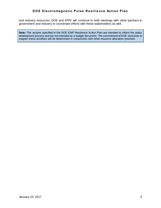and industry resources. DOE and EPRI will continue to hold meetings with other partners in government and industry to coordinate efforts with these stakeholders as well.

**Note:** The actions specified in the DOE EMP Resilience Action Plan are intended to inform the policy development process and are not intended as a budget document. The commitment of DOE resources to support these activities will be determined in conjunction with other resource allocation priorities.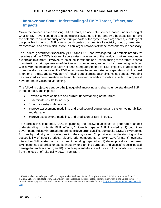# <span id="page-9-0"></span>**1. Improve and Share Understanding of EMP: Threat, Effects, and Impacts**

Given the concerns over evolving EMP threats, an accurate, science-based understanding of what an EMP event could do to electric power systems is important. And because EMPs have the potential to simultaneously affect multiple parts of the system over large areas, knowledge of the possible impacts of EMP events on discrete components of electricity control, generation, transmission, and distribution, as well as on larger networks of these components, is necessary.

The Federal government (specifically DOD and DOE) has investigated EMP effects broadly for decades and the DOE's National Laboratories<sup>6</sup> have some of the world's most knowledgeable experts on this threat. However, much of the knowledge and understanding of the threat is based upon testing a prior generation of devices and components, some of which are being replaced with newer technologies that have not been adequately tested for EMP impacts. In addition, the three waveforms comprising the EMP environment have been studied separately (with the most attention on the E1 and E3 waveforms), leaving questions about their combined effects. Modeling has provided some information and insights; however, available models are limited in scope and have not been validated via testing.

The following objectives support the joint goal of improving and sharing understanding of EMP threat, effects, and impacts:

- Develop a more complete and current understanding of the threat.
- Disseminate results to industry.
- Expand industry collaboration.
- Improve assessment, modeling, and prediction of equipment and system vulnerabilities and damage.
- Improve assessment, modeling, and prediction of EMP impacts.

To address this joint goal, DOE is planning the following actions: 1) generate a shared understanding of potential EMP effects; 2) identify gaps in EMP knowledge; 3) coordinate government-industry information sharing; 4) develop unclassified composite E1/E2/E3 waveforms for use by industry in modeling/testing their systems; 5) provide an understanding of the susceptibility of specific critical electric grid components to EMP waveforms; 6) evaluate interactive EMP system and component modeling capabilities; 7) develop realistic risk-based EMP planning scenarios for use by industry for planning purposes and assess/model expected damage for each scenario; and 8) report on potential issues of concern for critical infrastructure from the loss of off-site utility power from EMP.

<sup>6</sup> The first laboratories began as efforts to support the Manhattan Project during World War II. DOE is now steward to 17 National Laboratories, some of which have served as the leading institutions for scientific innovation in the United States for more than seventy years. More information on the National Laboratories can be found at [http://www.energy.gov/about-national](http://www.energy.gov/about-national-labs)[labs.](http://www.energy.gov/about-national-labs)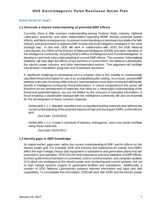## <span id="page-10-0"></span>**Action Items for Goal 1**

## <span id="page-10-1"></span>**1.1 Generate a shared understanding of potential EMP effects**

Currently, there is little common understanding among Federal, State, industry, National Laboratory, academic, and other stakeholders regarding HEMP threats, potential system effects, and likely consequences. A common understanding is a necessary foundation for both industry and government to address EMP threats and build mitigation strategies in the most strategic way. To this end, DOE will work in collaboration with DOD, the DOE National Laboratories, the Office of the Director of National Intelligence (ODNI) and other members of the intelligence community, including DOE's Office of Intelligence and Counterintelligence, to develop a commonly held understanding of current EMP effects. This common "informational baseline" will help align the efforts of key partners in Government, the National Laboratories, the electric power industry, and other interdependent sectors. This alignment will facilitate coordinated remediation programs and investment decisions.

A significant challenge to developing such a common view is the inability to communicate classified threat information for use in an unclassified public setting. As a result, several EMP tabletop exercises involving utility industry representatives have been conducted without the benefit of intelligence community threat information. A critical component of this action will therefore be the development of materials that allow for a meaningful understanding of the threat and potential impacts, but are not limited by the inclusion of classified information. A forum enabling a stakeholder dialogue with the intelligence community will also be essential for the development of these common materials.

*Deliverable 1.1.1:* Maintain classified and unclassified briefing materials that address the current understanding of the potential impacts of high and low impact EMPs on the electric grid.

*Due Date:* 12/31/2016

*Deliverable 1.1.2:* Create a schedule of industry, interagency, and cross-sector briefings using these materials.

*Due Date:* 03/31/2017

## <span id="page-10-2"></span>**1.2 Identify gaps in EMP knowledge**

As stated earlier, gaps exist within the current understanding of EMP and its effects on the electric power grid. For example, DOE and industry lack experience on exactly how EMPs affect the high-voltage, heavy-duty equipment in substations and generation plants that are essential to grid operation. DOD has the most experience and best database on EMP effects, but their system focus has been on command, control, communication, and computer systems (C4) which are analogous to the electric power grid monitoring and control systems, but not to high voltage systems organic to generation facilities and substations. Additionally, a number of DOE National Laboratories possess relevant information and data sets and capabilities. To consolidate this information, DOE will work with EPRI and the electric power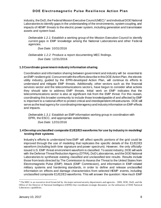industry, the DoD, the Federal Mission Executive Council (MEC) <sup>7</sup> and individual DOE National Laboratories to identify gaps in the understanding of the environments, system coupling, and impacts of HEMP threats to the electric power system, including generation and transmission assets and system load.

*Deliverable 1.2.1:* Establish a working group of the Mission Execution Council to identify current gaps in EMP knowledge among the National Laboratories and other Federal agencies.

*Due Date:* 10/31/2016

*Deliverable 1.2.2:* Produce a report documenting MEC findings. *Due Date:* 12/31/2016

## <span id="page-11-0"></span>**1.3 Coordinate government-industry information sharing**

Coordination and information sharing between government and industry will be essential to an EMP-resilient grid. Concurrent with the efforts describe in this DOE Action Plan, the electric utility industry, guided by the EPRI-developed Action Plan, will continue its efforts to understand and mitigate EMP threats. Additionally, other sectors such as the financial services sector and the telecommunications sectors, have begun to consider what actions they should take to address EMP threats. Initial work on EMP indicates that the telecommunications sector is also at significant risk from the EMP threat. For this reason, coordinating this broader community to include those knowledgeable of and affected by EMP is important to a national effort to protect critical and interdependent infrastructures. DOE will serve as the lead agency for coordinating interagency and industry information on EMP effects and impacts.

*Deliverable 1.3.1:* Establish an EMP information working group in coordination with EPRI, the ESCC, and appropriate stakeholders.

*Due Date:* 12/31/2016

## <span id="page-11-1"></span>**1.4 Develop unclassified composite E1/E2/E3 waveforms for use by industry in modeling/ testing their systems**

Industry's efforts to understand how EMP will affect specific portions of the grid could be improved through the use of modeling that replicates the specific details of the E1/E2/E3 waveform (including both time signature and power spectrum). However, the only officiallyissued U.S. EMP threat environment waveform is classified. To assist industry, DOE will work with the Defense Threat Reduction Agency (DTRA), DoD Laboratories, and the DOE National Laboratories to synthesize existing classified and unclassified test results. Results include those from tests directed by The Commission to Assess the Threat to the United States from Electromagnetic Pulse (EMP) Attack (EMP Commission), and information in EMP-related military systems and hardening standards, in order to define and release unclassified information on effects and damage characteristics from selected HEMP events, including unclassified composite E1/E2/E3 waveforms. This will answer the question: How much EMP

<sup>7</sup> The MEC is an executive-level forum led by the major national security departments and agencies – DHS, DOE, DoD, and the Office of the Director of National Intelligence (ODNI) that coordinates strategic discussion on the utilization of DOE National Laboratory capabilities.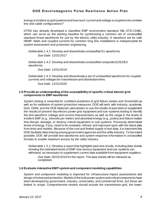energy is incident on grid systems and how much current and voltage is coupled onto common line and cable configurations?

DTRA has already developed a classified EMP environment standard, MIL-STD-2169C, which can serve as the starting baseline for synthesizing a common set of unclassified standard threat waveforms for use by the electric utility industry. A waveform set for both HEMP fields and coupled currents for common long line installations is indispensable for system assessment and protection engineering.

*Deliverable 1.4.1:* Develop and disseminate unclassified E1 waveforms. *Due Date:* 12/31/2017

*Deliverable 1.4.2:* Develop and disseminate unclassified composite E1/E2/E3 waveforms.

*Due Date:* 12/31/2019

*Deliverable 1.4.3:* Develop and disseminate a set of unclassified waveforms for coupled currents and voltages for transmission and distribution lines.

*Due Date:* 12/31/2020

#### <span id="page-12-0"></span>**1.5 Provide an understanding of the susceptibility of specific critical electric grid components to EMP waveforms**

System testing is essential for confident prediction of grid failure modes and thresholds as well as for validation of system protection measures. DOE will work with industry, academia, DoD, ODNI, and the DOE National Laboratories to use the results of past tests to supplement the results of present-day electric power grid equipment and sub-systems testing to identify the test waveform voltage and current characteristics, as well as the range in the levels of incident EMP (e.g., kilovolts per meter) and absorbed energy (e.g., joules) and failure modes that disrupt, damage, or destroy critical equipment or sub-systems. Previously determined levels of energy, if any, need to be reviewed, refined, and improved upon with the latest data from tests and models. Because of the cost and limited supply of test data, it is important that DOE facilitate data sharing among government agencies and the utility industry. To the extent possible, DOE will provide test waveforms and system response information in unclassified formats to enable maximum access by the utility industry.

*Deliverable 1.5.1:* Develop a report that highlights past test results, including data sheets showing the estimated levels of EMP that various equipment and sub-systems can withstand, as necessary to supplement current data available from equipment suppliers. *Due Date:* 05/31/2019 for the report. The data sheets will be released as completed.

## <span id="page-12-1"></span>**1.6 Evaluate interactive EMP system and component modeling capabilities**

System and component modeling is important for infrastructure impact assessments and design of enhanced protection. Models of the bulk power system and critical components have been developed by government, industry, universities, and commercial firms, but these are limited in scope. Comprehensive models should include the transmission grid, the lower-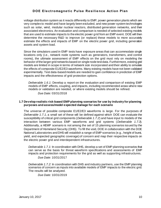voltage distribution system as it reacts differently to EMP, power generation plants which are very complex to model and have largely been excluded, and new power system technologies such as solar, wind, modular nuclear reactors, distributed generation networks, and their associated electronics. An evaluation and comparison is needed of selected existing models that are used to estimate impacts to the electric power grid from an EMP event. DOE will then determine the necessary R&D to improve (or replace) these models to more accurately estimate the effects and impacts of EMP on the electric power grid, including generation assets and system load.

Since the simulators used in EMP tests have exposure areas that can accommodate single locations only (i.e., network node systems such as generators, transformers, and control rooms), the ultimate assessment of EMP effects on the grid must rely on modeling the behavior of the larger grid networks based on single node test data.Furthermore, existing grid models are limited in scope in terms of network size incorporated and their ability to simulate the effects of composite E1/E2/E3 waveforms. Many existing models have not been validated experimentally. Test data-based models are needed to gain confidence in prediction of EMP impacts and the effectiveness of grid protection options.

*Deliverable 1.6.1:* Develop a report on the evaluation and comparison of existing EMP models of EMP effects, coupling, and impacts, including recommended areas where new models or validation are needed, or where existing models should be refined.

*Due Date:* 03/31/2018

#### <span id="page-13-0"></span>**1.7 Develop realistic risk-based EMP planning scenarios for use by industry for planning purposes and assess/model expected damage for each scenario**

The universe of possible composite E1/E2/E3 waveforms is large. For the purposes of *Deliverable 1.7.1,* a small set of these will be defined against which DOE can evaluate the susceptibility of critical grid components (*Deliverable 1.7.2*) and have input to models of the interaction between various EMP waveforms and grid systems (*Deliverable 1.7.3*). Additionally, a HEMP scenario is not among the set of 15 planning scenarios issued by the Department of Homeland Security (DHS). To fill the void, DOE in collaboration with the DOE National Laboratories and DHS will establish a range of EMP scenarios (e.g., height of burst, yield, and expected geographic coverage) of concern and map their respective impacts on the electric power grid and interdependent infrastructures.

*Deliverable 1.7.1:* In coordination with DHS, develop a set of EMP planning scenarios that can serve as the basis for threat waveform specifications and assessments of EMP impacts and protection requirements for the grid as well as supporting infrastructures.

## *Due Date:* 10/31/2017

*Deliverable 1.7.2:* In coordination with DHS and industry partners, use the EMP planning scenarios of concern as inputs into available models of EMP impacts to the electric grid. The results will be analyzed.

*Due Date:* 10/31/2019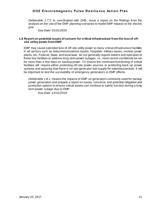*Deliverable 1.7.3:* In coordination with DHS, issue a report on the findings from the analysis on the use of the EMP planning scenarios to model EMP impacts to the electric grid.

*Due Date:* 01/31/2020

#### <span id="page-14-0"></span>**1.8 Report on potential issues of concern for critical infrastructure from the loss of offsite utility power from EMP**

EMP may cause extended loss of off-site utility power to many critical infrastructure facilities in all sectors such as telecommunications assets, hospitals, military bases, nuclear power plants, etc. Federal, State, and local laws, do not generally require owners and operators of these key facilities to address long-term power outages, i.e., most cannot confidently be run for more than a few days on backup power. To ensure the continued functioning of critical facilities will require either protecting off-site power sources or protecting back up power systems and assuring that there is on-site generator fuel supply for extended periods. It will be important to test the survivability of emergency generators to EMP effects.

*Deliverable 1.8.1:* Assess the impacts of EMP on generators commonly used for backup power generation and prepare a report on issues, concerns, and potential mitigation and protection options to ensure critical assets can continue to safely function during a long term power outage due to EMP.

*Due Date:* 12/31/2018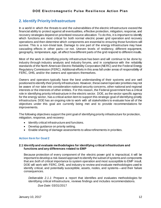# <span id="page-15-0"></span>**2. Identify Priority Infrastructure**

In a world in which the threats to and the vulnerabilities of the electric infrastructure exceed the financial ability to protect against all eventualities, effective protection, mitigation, response, and recovery strategies depend on prioritized resource allocation. To do this, it is important to identify which functions are most critical for both normal electric power grid operation and recovery operations and then determine which components are essential to ensuring those functions will survive. This is a non-trivial task. Damage to one part of the energy infrastructure may have cascading effects in other parts—or not. Uneven levels of resiliency, different equipment, geography, temperature, age, all affect how different parts of the grid respond to different insults.

Most of the work in identifying priority infrastructure has been and will continue to be done by industry through industry analysis and industry forums, and in compliance with the reliability standards of the North American Electric Reliability Corporation (NERC) and the Federal Energy Regulatory Commission (FERC). Additional efforts in this area fall under areas of responsibility of FERC, DHS, and/or the owners and operators themselves.

Owners and operators typically have the best understanding of their systems and are well positioned to identify *their* priority infrastructure. However, these owner/operator priorities may not be aware of nor take into consideration national security concerns, other national and regional interests or the interests of other entities. For this reason, the Federal government has a critical role in identifying priority infrastructure in the electric sector. DOE, as the sector specific agency for the energy sector, has a critical action item to support this strategic goal of identifying priority infrastructure. DOE has an ongoing role to work with all stakeholders to evaluate how all of the objectives under this goal are currently being met and to provide recommendations for improvements.

The following objectives support the joint goal of identifying priority infrastructure for protection, mitigation, response, and recovery:

- $\bullet$  Identify critical infrastructure and functions.
- Develop guidance on priority setting.
- Enable sharing of damage assessments to allow refinements in priorities.

# <span id="page-15-1"></span>**Action Item for Goal 2**

## <span id="page-15-2"></span>**2.1 Identify and evaluate methodologies for identifying critical infrastructure and functions and any differences related to EMP**

Because protection of every component of the electric power grid is impractical, it will be important to develop a risk-based approach to identify the subset of systems and components that are *both* of critical importance to system operation and most susceptible to EMP insult. DOE will work with FERC, DHS, and industry to review and evaluate methodologies used to identify critical, and potentially susceptible, assets, nodes, and systems—and their failure consequences.

*Deliverable 2.1.1:* Prepare a report that identifies and evaluates methodologies for identifying critical infrastructure, reviews findings and includes recommendations. *Due Date:* 03/31/2017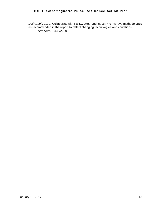*Deliverable 2.1.2:* Collaborate with FERC, DHS, and industry to improve methodologies as recommended in the report to reflect changing technologies and conditions. *Due Date:* 09/30/2020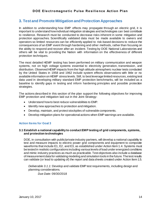# <span id="page-17-0"></span>**3. Test and Promote Mitigation and Protection Approaches**

In addition to understanding how EMP effects may propagate through an electric grid, it is important to understand how individual mitigation strategies and technologies can best contribute to resilience. Research must be conducted to decrease risks inherent in some mitigation and protection approaches. Scientifically validated data must be made available to owners and operators so limited resources can be efficiently applied to risk-based decisions to reduce the consequences of an EMP event through hardening and other methods, rather than focusing on the ability to respond and recover after an incident. Testing by DOE National Laboratories and others will be vital to providing the Nation with information on the effectiveness of different protection techniques.

The most detailed HEMP testing has been performed on military communication and weapon systems, not on high voltage systems essential to electricity generation, transmission, and distribution. Observed HEMP impacts from the high altitude atmospheric nuclear tests conducted by the United States in 1958 and 1962 include system effects observations with little or no available information on HEMP stress levels. Still, to best leverage limited resources, existing test data used in developing military standard EMP protection benchmarks, will be included as a baseline to identify gaps in testing and inform hardening principles and possible protection strategies.

The actions described in this section of the plan support the following objectives for improving EMP protection and mitigation laid out in the Joint Strategy:

- Understand how to best reduce vulnerabilities to EMP.
- Identify new approaches to protection and mitigation.
- Develop, maintain, and protect stockpiles of vulnerable components.
- Develop mitigation plans for operational actions when EMP warnings are available.

## <span id="page-17-1"></span>**Action Items for Goal 3**

## <span id="page-17-2"></span>**3.1 Establish a national capability to conduct EMP testing of grid components, systems, and protection technologies**

DOE, in consultation with public/private industry partners, will develop a national capability to test and measure impacts to electric power grid components and equipment to composite waveforms that include E1, E2, and E3, as established under Action Item 1.4. Systems must be tested in realistic configurations including various levels of load under energized conditions and mimic industry practices as much as practicable. Test objectives also include a database of measurement data for validating modeling and simulation tools in the future. The test results can validate (or lead to updating of) the report and data sheets created under Action Item 1.5.

*Deliverable 3.1.1:* Develop and validate EMP test requirements, including design and planning considerations.

*Due Date:* 09/30/2018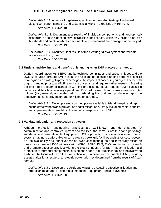*Deliverable 3.1.2:* Advance long-term capabilities for providing testing of individual electric components and the grid system as a whole in a realistic environment.

*Due Date:* 12/31/2018

*Deliverable 3.1.3:* Document test results of individual components and appropriately disseminate analysis describing vulnerabilities and impacts, which may include disruption thresholds and points at which components and equipment are damaged or destroyed.

*Due Date:* 06/30/2019

*Deliverable 3.1.4:* Document test results of the electric grid as a system and validate models for industry use.

*Due Date:* 06/30/2020

#### <span id="page-18-0"></span>**3.2 Understand the limits and benefits of islanding as an EMP protection strategy.**

DOE, in coordination with NERC and its technical committees and subcommittees and the DOE National Laboratories, will assess the risks and benefits of islanding portions of electric power grid as a strategy to prevent or mitigate the impacts of cascading outages. The benefits of grid islanding prior to a HEMP event are uncertain and require further research. Breaking the grid into pre-planned islands on warning has risks but could reduce HEMP cascading impacts and facilitate recovery operations. DOE will research and assess various control options (i.e., manual, automated, etc.) of islanding the grid and produce a report on effectiveness as a prevention and/or mitigation strategy.

*Deliverable 3.2.1:* Develop a study on the options available to island the grid and report on the effectiveness as a prevention and/or mitigation strategy including costs, benefits, and implementation feasibility of islanding in response to an EMP.

*Due Date:* 06/30/2019

## <span id="page-18-1"></span>**3.3 Validate mitigation and protection strategies**

Although protection engineering practices are well-known and demonstrated for communication and control equipment and facilities, the same is not true for high voltage substation and generation plant equipment. DOD's protection for communication and control systems may not be affordable for some electric power grid facilities and systems, so research on the availability and effectiveness of lower cost techniques and temporary mitigation measures is needed. DOE will work with NERC, FERC, DHS, DoD, and industry to identify and promote effective practices within the electric industry for EMP impact mitigation and protection of individual components, equipment, nodes (e.g., substations), and the system as a whole. The focus will be on the most critical and vulnerable components to EMP, including assets critical for a restart of an electric power grid—as determined from the results of Action Item 3.1.

*Deliverable 3.3.1:* Develop a report identifying and evaluating effective mitigation and protection measures for different components, equipment, and sub-systems.

*Due Date:* 12/31/2020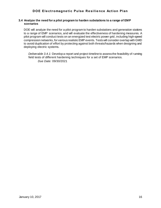## <span id="page-19-0"></span>**3.4 Analyze the need for a pilot program to harden substations to a range of EMP scenarios**

DOE will analyze the need for a pilot program to harden substations and generation stations to a range of EMP scenarios, and will evaluate the effectiveness of hardening measures. A pilot program will conduct tests on an energized test electric power grid, including high-speed compression networks, for various realistic EMP events. Tests will consider overlap with GMD to avoid duplication of effort by protecting against both threats/hazards when designing and deploying electric systems.

*Deliverable 3.4.1:* Develop a report and project timeline to assess the feasibility of running field tests of different hardening techniques for a set of EMP scenarios. *Due Date:* 09/30/2021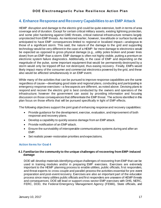# <span id="page-20-0"></span>**4. Enhance Response and Recovery Capabilities to an EMP Attack**

HEMP disruption and damage to the electric grid could be quite extensive, both in terms of area coverage and of duration. Except for certain critical military assets, existing lightning protection, and some pilot hardening against GMD threats, critical national infrastructure remains largely unprotected from EMP threats. As mentioned earlier, however, low altitude or surface bursts are anticipated to have EMP consequences limited to regional or localized impact—analogous to those of a significant storm. This said, the nature of the damage to the grid and supporting technology would be very different in the case of a HEMP: far more damage to electronics would be expected as opposed to gross physical damage (e.g., utility poles broken and power lines down) from an EMP than a storm. EMP damage is often not highly visible, putting a premium on electronic system failure diagnostics. Additionally, in the case of EMP and depending on the magnitude of the pulse, some important equipment that would be permanently destroyed by a storm would only be tripped off but not destroyed, thus easing recovery. Finally, EMPs would likely impact many of the consumer and commercial electronics powered by the grid, and these also would be affected simultaneously in an EMP event.

While many of the activities that can be pursued to improve response capabilities are the same regardless of cause—developing good state and regional plans, conducting and participating in emergency response exercises—a few aspects are different, as noted above. Devising plans to respond and recover the electric grid is best conducted by the owners and operators of the infrastructure; however the government can assist by providing information and focusing discussion on those consequences that differentiate the EMP threat. The actions identified in this plan focus on those efforts that will be pursued specifically in light of EMP effects.

The following objectives support the joint goal of enhancing response and recovery capabilities:

- Provide guidance for the development, exercise, evaluation, and improvement of both response and recovery plans.
- Develop a capability to quickly assess damage from an EMP attack.
- Provide notification of an EMP attack.
- Ensure the survivability of interoperable communications systems during and after an EMP.
- Set realistic power-restoration priorities and expectations.

## <span id="page-20-1"></span>**Action Items for Goal 4**

## <span id="page-20-2"></span>**4.1 Familiarize the community to the unique challenges of recovering from EMP-induced damage**

DOE will develop materials identifying unique challenges of recovering from EMP that can be used in training modules and/or in preparing EMP exercises. Exercises are extremely important to the HEMP planning process to enable utilities, public officials, first responders, and threat experts to cross-couple and parallel-process the activities essential for pre-event preparation and post-event recovery. Exercises are also an important part of the education process since many utilities public officials and first responders are unaware of HEMP threats and consequences. DOE will lead or support cross-sector EMP exercises with DHS, NERC, FERC, DOD, the Federal Emergency Management Agency (FEMA), State officials, and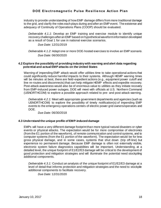industry to provide understanding of how EMP damage differs from more traditional damage to the grid, and clarify the roles each plays during and after an EMP event. The existence and adequacy of Continuity of Operations Plans (COOP) should be evaluated.

*Deliverable 4.1.1:* Develop an EMP training and exercise module to identify unique recovery challenges after an EMP based on hypothetical waveform information developed as a result of Goal 1 for use in national exercise scenarios.

*Due Date:* 12/31/2019

*Deliverable 4.1.2:* Adapt one or more DOE-hosted exercises to involve an EMP scenario. *Due Date:* 06/30/2020

## <span id="page-21-0"></span>**4.2 Explore the possibility of providing industry with warning and alert data regarding potential and actual EMP attacks on the United States**

Warning of impending EMP attack would offer utilities time to take operational actions that could significantly reduce harmful impacts to their systems. Although HEMP warning times will be minutes at best, there are field-expedient actions (e.g., equipment power cutoff and line re-routes and disconnects) that can help mitigate HEMP effects and expedite recovery. Post-attack awareness would also be of enormous value to utilities as they initiate recovery from EMP-induced power outages. DOE will meet with officials at U.S. Northern Command (USNORTHCOM) to explore a possible approach related to pre- and post-attack warning.

*Deliverable 4.2.1:* Meet with appropriate government departments and agencies (such as USNORTHCOM) to explore the possibility of timely notification(s) of impending EMP events to the emergency operations centers of electric power grid owners/operators and DOE.

*Due Date:* 06/30/2018

## <span id="page-21-1"></span>**4.3 Understand the unique profile of EMP-induced damage**

EMPs will have a very different damage footprint than more typical natural disasters or cyber events or physical attacks. The expectation would be for more compromise of electronics (from the E1 portion of the waveform), of remote communication and control systems, and to computer systems (from the E1 portion of the waveform). The expectation would be for less gross physical damage, and in some cases, systems that shut down (trip off-line) but experience no permanent damage. Because EMP damage is often not externally visible, electronic system failure diagnostics capabilities will be important. Understanding, at a detailed level, the unique footprint of E1/E2/E3 damage will be critical to the development of good protection and mitigation strategies and will illuminate the potential need stockpiling additional components.

*Deliverable 4.3.1:* Conduct *a*n analysis of the unique footprint of E1/E2/E3 damage at a level of detail that informs protection and mitigation strategies and the need to stockpile additional components to facilitate recovery.

*Due Date:* 12/31/2020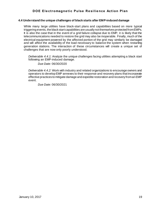## <span id="page-22-0"></span>**4.4 Understand the unique challenges of black starts after EMP-induced damage**

While many large utilities have black-start plans and capabilities based on more typical triggering events, the black start capabilities are usually not themselves protected from EMPs. It is also the case that in the event of a grid failure collapse due to EMP, it is likely that the telecommunications needed to restore the grid may also be inoperable. Finally, much of the electrical equipment powered by the affected portion of the grid may similarly be damaged and will affect the availability of the load necessary to balance the system when restarting generation stations. The interaction of these circumstances will create a unique set of challenges that are now only poorly understood.

*Deliverable 4.4.1:* Analyze the unique challenges facing utilities attempting a black start following an EMP-induced damage.

*Due Date:* 06/30/2020

*Deliverable 4.4.2:* Work with industry and related organizations to encourage owners and operators to develop EMP annexes to their response and recovery plans that incorporate effective practices to mitigate damage and expedite restoration and recovery from an EMP event.

*Due Date:* 06/30/2021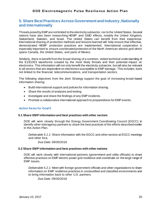# <span id="page-23-0"></span>**5. Share Best Practices Across Government and Industry, Nationally and Internationally**

Threats posed by EMP are not limited to the electricity subsector, nor to the United States. Several nations have also been researching HEMP and GMD effects, notably the United Kingdom, Switzerland, Sweden, and Israel. The United States can benefit from their experience. International sharing of protection methods and lessons learned will help ensure that effective, demonstrated HEMP protection practices are implemented. International cooperation is especially important to ensure coordinated protection of the North American electric grid which spans Canada, the United States, and parts of Mexico.

Similarly, there is benefit from the broad sharing of a common, vetted technical understanding of the E1/E2/E3 waveforms created by the most likely threats and their potential impact on electronics. This information will not only benefit the electricity subsector, but will also be relevant to all sectors that are dependent on electronics susceptible to EMP damage. This includes, but is not limited to the financial, telecommunications, and transportation sectors.

The following objectives from the Joint Strategy support the goal of increasing broad-based information sharing:

- Build international support and policies for information sharing.
- Share the results of analyses and testing.
- Investigate and share the findings of any EMP incidents.
- Promote a collaborative international approach to preparedness for EMP events.

## <span id="page-23-1"></span>**Action Items for Goal 5**

## <span id="page-23-2"></span>**5.1 Share EMP information and best practices with other sectors**

DOE will work closely through the Energy Government Coordinating Council (EGCC) to identify other interagency partners to share the best practices of the efforts described earlier in this Action Plan.

*Deliverable 5.1.1:* Share information with the EGCC and other sectors at EGCC meetings and other fora.

*Due Date:* 09/30/2018

## <span id="page-23-3"></span>**5.2 Share EMP information and best practices with other nations**

DOE will work closely with international partners (government and utility officials) to share effective practices on EMP electric power grid resilience and coordinate on the large range of EMP issues.

*Deliverable 5.2.1:* Meet with foreign government officials and other organizations to share information on EMP resilience practices in unclassified and classified environments and to bring information back to other U.S. partners.

*Due Date:* 09/30/2018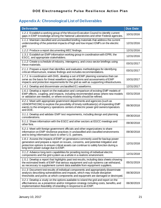# <span id="page-24-0"></span>**Appendix A: Chronological List of Deliverables**

| <b>Deliverable</b>                                                                                                                                                                                                                                                                                | <b>Due Date</b> |
|---------------------------------------------------------------------------------------------------------------------------------------------------------------------------------------------------------------------------------------------------------------------------------------------------|-----------------|
| 1.2.1: Establish a working group of the Mission Execution Council to identify current<br>gaps in EMP knowledge among the National Laboratories and other Federal agencies.                                                                                                                        | 10/31/2016      |
| 1.1.1: Maintain classified and unclassified briefing materials that address the current<br>understanding of the potential impacts of high and low impact EMPs on the electric<br>grid.                                                                                                            | 12/31/2016      |
| 1.2.2: Produce a report documenting MEC findings.                                                                                                                                                                                                                                                 | 12/31/2016      |
| 1.3.1: Establish an EMP information working group in coordination with EPRI, the<br>ESCC, and appropriate stakeholders.                                                                                                                                                                           | 12/31/2016      |
| 1.1.2: Create a schedule of industry, interagency, and cross-sector briefings using<br>these materials.                                                                                                                                                                                           | 03/31/2017      |
| 2.1.1: Prepare a report that identifies and evaluates methodologies for identifying<br>critical infrastructure, reviews findings and includes recommendations.                                                                                                                                    | 03/31/2017      |
| 1.7.1: In coordination with DHS, develop a set of EMP planning scenarios that can<br>serve as the basis for threat waveform specifications and assessments of EMP<br>impacts and protection requirements for the grid as well as supporting infrastructures.                                      | 10/31/2017      |
| 1.4.1: Develop and disseminate unclassified E1 waveforms.                                                                                                                                                                                                                                         | 12/31/2017      |
| 1.6.1: Develop a report on the evaluation and comparison of existing EMP models of<br>EMP effects, coupling, and impacts, including recommended areas where new models<br>or validation are needed, or where existing models should be refined.                                                   | 03/31/2018      |
| 4.2.1: Meet with appropriate government departments and agencies (such as<br>USNORTHCOM) to explore the possibility of timely notification(s) of impending EMP<br>events to the emergency operations centers of electric power grid owners/operators<br>and DOE.                                  | 06/30/2018      |
| 3.1.1: Develop and validate EMP test requirements, including design and planning<br>considerations.                                                                                                                                                                                               | 09/30/2018      |
| 5.1.1: Share information with the EGCC and other sectors at EGCC meetings and<br>other fora.                                                                                                                                                                                                      | 09/30/2018      |
| 5.2.1: Meet with foreign government officials and other organizations to share<br>information on EMP resilience practices in unclassified and classified environments<br>and to bring information back to other U.S. partners.                                                                    | 09/30/2018      |
| 1.8.1: Assess the impacts of EMP on generators commonly used for backup power<br>generation and prepare a report on issues, concerns, and potential mitigation and<br>protection options to ensure critical assets can continue to safely function during a<br>long term power outage due to EMP. | 12/31/2018      |
| 3.1.2: Advance long-term capabilities for providing testing of individual electric<br>components and the grid system as a whole in a realistic environment.                                                                                                                                       | 12/31/2018      |
| 1.5.1: Develop a report that highlights past test results, including data sheets showing<br>the estimated levels of EMP that various equipment and sub-systems can withstand,<br>as necessary to supplement current data available from equipment suppliers.                                      | 05/31/2019      |
| 3.1.3: Document test results of individual components and appropriately disseminate<br>analysis describing vulnerabilities and impacts, which may include disruption<br>thresholds and points at which components and equipment are damaged or destroyed.                                         | 06/30/2019      |
| 3.2.1: Develop a study on the options available to island the grid and report on the<br>effectiveness as a prevention and/or mitigation strategy including costs, benefits, and<br>implementation feasibility of islanding in response to an EMP.                                                 | 06/30/2019      |